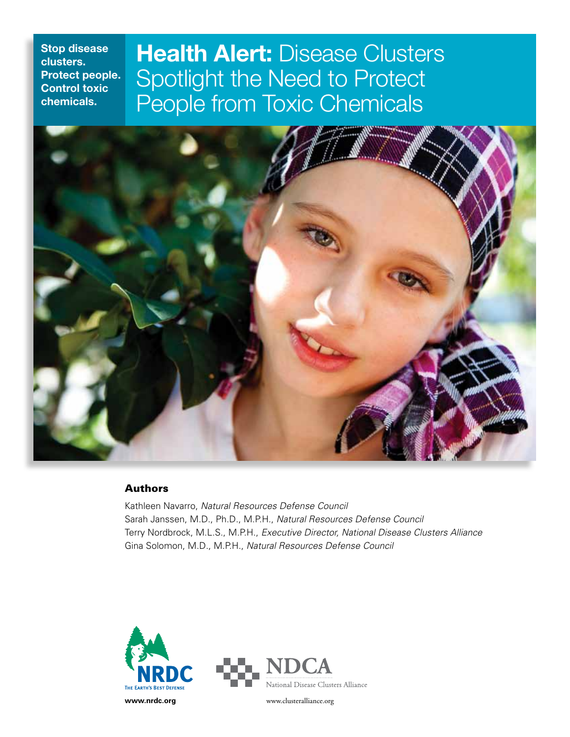# **Health Alert: Disease Clusters** Spotlight the Need to Protect People from Toxic Chemicals



# Authors

Kathleen Navarro, *Natural Resources Defense Council* Sarah Janssen, M.D., Ph.D., M.P.H., *Natural Resources Defense Council* Terry Nordbrock, M.L.S., M.P.H., *Executive Director, National Disease Clusters Alliance* Gina Solomon, M.D., M.P.H., *Natural Resources Defense Council*

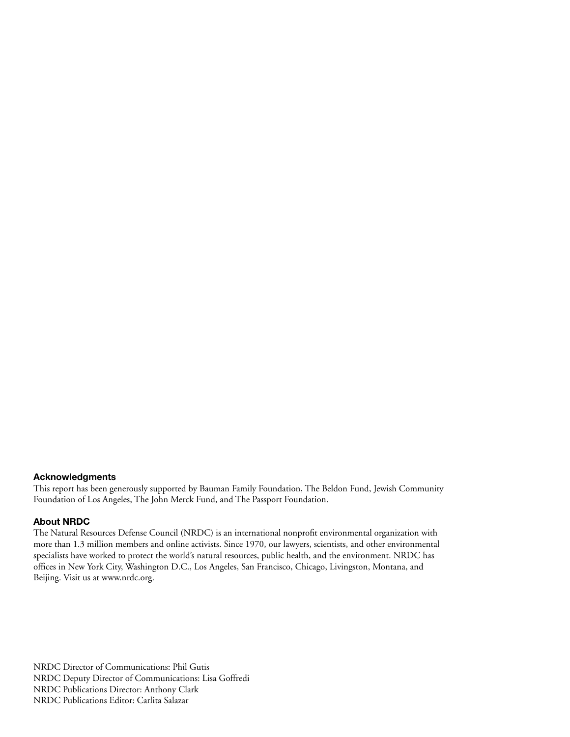# **Acknowledgments**

This report has been generously supported by Bauman Family Foundation, The Beldon Fund, Jewish Community Foundation of Los Angeles, The John Merck Fund, and The Passport Foundation.

### **About NRDC**

The Natural Resources Defense Council (NRDC) is an international nonprofit environmental organization with more than 1.3 million members and online activists. Since 1970, our lawyers, scientists, and other environmental specialists have worked to protect the world's natural resources, public health, and the environment. NRDC has offices in New York City, Washington D.C., Los Angeles, San Francisco, Chicago, Livingston, Montana, and Beijing. Visit us at www.nrdc.org.

NRDC Director of Communications: Phil Gutis NRDC Deputy Director of Communications: Lisa Goffredi NRDC Publications Director: Anthony Clark NRDC Publications Editor: Carlita Salazar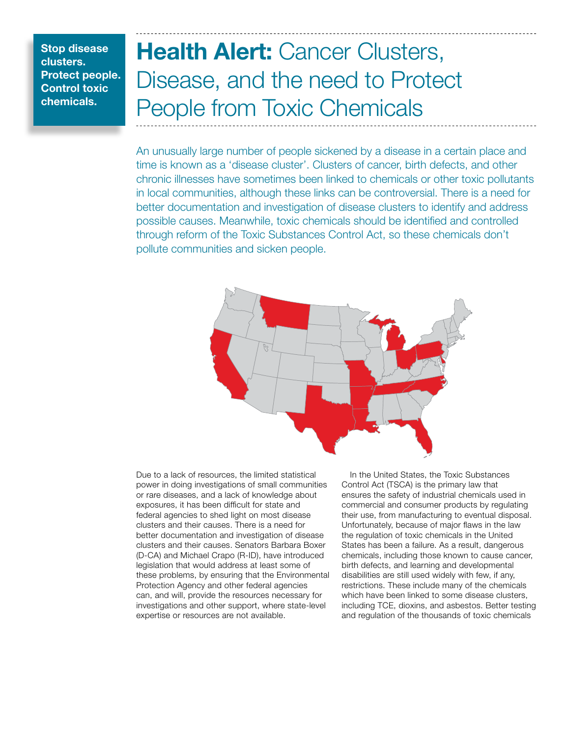# Health Alert: Cancer Clusters, Disease, and the need to Protect People from Toxic Chemicals

An unusually large number of people sickened by a disease in a certain place and time is known as a 'disease cluster'. Clusters of cancer, birth defects, and other chronic illnesses have sometimes been linked to chemicals or other toxic pollutants in local communities, although these links can be controversial. There is a need for better documentation and investigation of disease clusters to identify and address possible causes. Meanwhile, toxic chemicals should be identified and controlled through reform of the Toxic Substances Control Act, so these chemicals don't pollute communities and sicken people.



Due to a lack of resources, the limited statistical power in doing investigations of small communities or rare diseases, and a lack of knowledge about exposures, it has been difficult for state and federal agencies to shed light on most disease clusters and their causes. There is a need for better documentation and investigation of disease clusters and their causes. Senators Barbara Boxer (D-CA) and Michael Crapo (R-ID), have introduced legislation that would address at least some of these problems, by ensuring that the Environmental Protection Agency and other federal agencies can, and will, provide the resources necessary for investigations and other support, where state-level expertise or resources are not available.

In the United States, the Toxic Substances Control Act (TSCA) is the primary law that ensures the safety of industrial chemicals used in commercial and consumer products by regulating their use, from manufacturing to eventual disposal. Unfortunately, because of major flaws in the law the regulation of toxic chemicals in the United States has been a failure. As a result, dangerous chemicals, including those known to cause cancer, birth defects, and learning and developmental disabilities are still used widely with few, if any, restrictions. These include many of the chemicals which have been linked to some disease clusters, including TCE, dioxins, and asbestos. Better testing and regulation of the thousands of toxic chemicals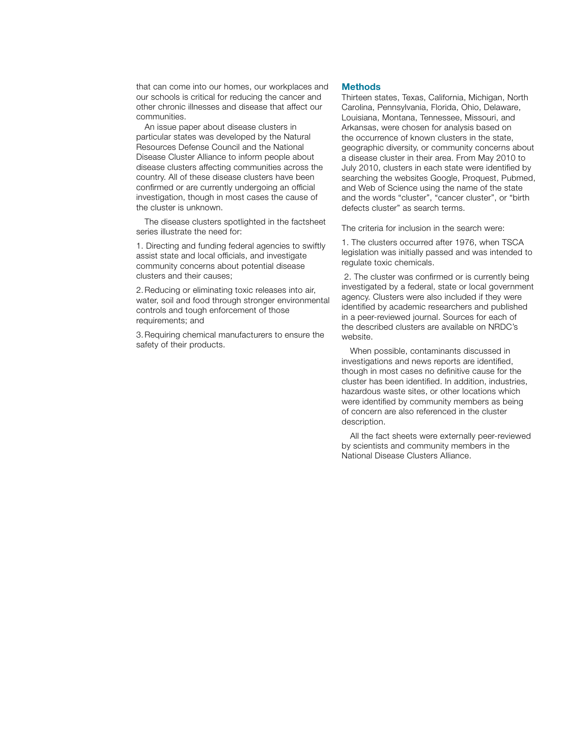that can come into our homes, our workplaces and our schools is critical for reducing the cancer and other chronic illnesses and disease that affect our communities.

An issue paper about disease clusters in particular states was developed by the Natural Resources Defense Council and the National Disease Cluster Alliance to inform people about disease clusters affecting communities across the country. All of these disease clusters have been confirmed or are currently undergoing an official investigation, though in most cases the cause of the cluster is unknown.

The disease clusters spotlighted in the factsheet series illustrate the need for:

1. Directing and funding federal agencies to swiftly assist state and local officials, and investigate community concerns about potential disease clusters and their causes;

2.Reducing or eliminating toxic releases into air, water, soil and food through stronger environmental controls and tough enforcement of those requirements; and

3.Requiring chemical manufacturers to ensure the safety of their products.

#### **Methods**

Thirteen states, Texas, California, Michigan, North Carolina, Pennsylvania, Florida, Ohio, Delaware, Louisiana, Montana, Tennessee, Missouri, and Arkansas, were chosen for analysis based on the occurrence of known clusters in the state, geographic diversity, or community concerns about a disease cluster in their area. From May 2010 to July 2010, clusters in each state were identified by searching the websites Google, Proquest, Pubmed, and Web of Science using the name of the state and the words "cluster", "cancer cluster", or "birth defects cluster" as search terms.

The criteria for inclusion in the search were:

1. The clusters occurred after 1976, when TSCA legislation was initially passed and was intended to regulate toxic chemicals.

 2. The cluster was confirmed or is currently being investigated by a federal, state or local government agency. Clusters were also included if they were identified by academic researchers and published in a peer-reviewed journal. Sources for each of the described clusters are available on NRDC's website.

When possible, contaminants discussed in investigations and news reports are identified, though in most cases no definitive cause for the cluster has been identified. In addition, industries, hazardous waste sites, or other locations which were identified by community members as being of concern are also referenced in the cluster description.

All the fact sheets were externally peer-reviewed by scientists and community members in the National Disease Clusters Alliance.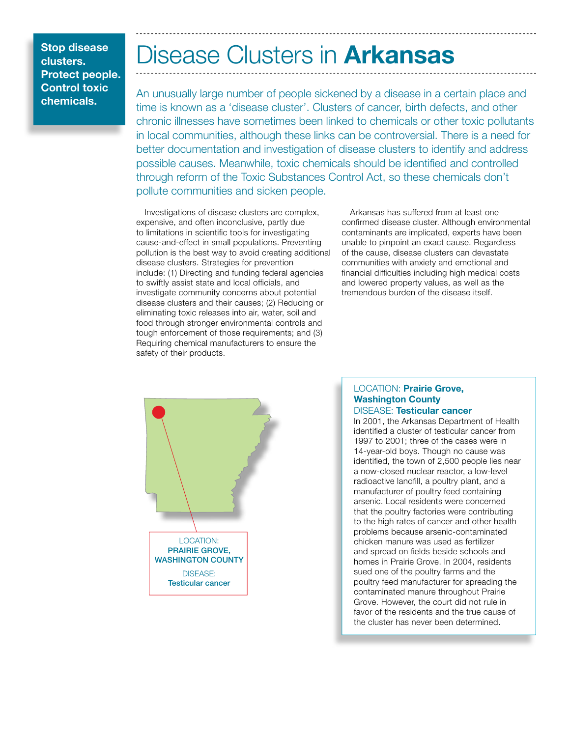# Disease Clusters in **Arkansas**

An unusually large number of people sickened by a disease in a certain place and time is known as a 'disease cluster'. Clusters of cancer, birth defects, and other chronic illnesses have sometimes been linked to chemicals or other toxic pollutants in local communities, although these links can be controversial. There is a need for better documentation and investigation of disease clusters to identify and address possible causes. Meanwhile, toxic chemicals should be identified and controlled through reform of the Toxic Substances Control Act, so these chemicals don't pollute communities and sicken people.

Investigations of disease clusters are complex, expensive, and often inconclusive, partly due to limitations in scientific tools for investigating cause-and-effect in small populations. Preventing pollution is the best way to avoid creating additional disease clusters. Strategies for prevention include: (1) Directing and funding federal agencies to swiftly assist state and local officials, and investigate community concerns about potential disease clusters and their causes; (2) Reducing or eliminating toxic releases into air, water, soil and food through stronger environmental controls and tough enforcement of those requirements; and (3) Requiring chemical manufacturers to ensure the safety of their products.

Arkansas has suffered from at least one confirmed disease cluster. Although environmental contaminants are implicated, experts have been unable to pinpoint an exact cause. Regardless of the cause, disease clusters can devastate communities with anxiety and emotional and financial difficulties including high medical costs and lowered property values, as well as the tremendous burden of the disease itself.



### LOCATION: Prairie Grove, Washington County DISEASE: Testicular cancer

arsenic. Local residents were concerned<br>that the poultry factories were contributing In 2001, the Arkansas Department of Health identified a cluster of testicular cancer from 1997 to 2001; three of the cases were in 14-year-old boys. Though no cause was identified, the town of 2,500 people lies near a now-closed nuclear reactor, a low-level radioactive landfill, a poultry plant, and a manufacturer of poultry feed containing arsenic. Local residents were concerned to the high rates of cancer and other health problems because arsenic-contaminated chicken manure was used as fertilizer and spread on fields beside schools and homes in Prairie Grove. In 2004, residents sued one of the poultry farms and the poultry feed manufacturer for spreading the contaminated manure throughout Prairie Grove. However, the court did not rule in favor of the residents and the true cause of the cluster has never been determined.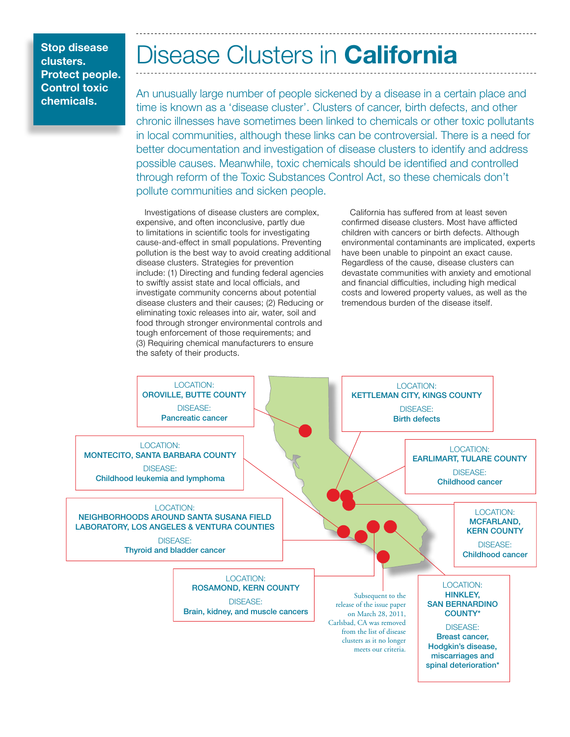# Disease Clusters in **California**

An unusually large number of people sickened by a disease in a certain place and time is known as a 'disease cluster'. Clusters of cancer, birth defects, and other chronic illnesses have sometimes been linked to chemicals or other toxic pollutants in local communities, although these links can be controversial. There is a need for better documentation and investigation of disease clusters to identify and address possible causes. Meanwhile, toxic chemicals should be identified and controlled through reform of the Toxic Substances Control Act, so these chemicals don't pollute communities and sicken people.

Investigations of disease clusters are complex, expensive, and often inconclusive, partly due to limitations in scientific tools for investigating cause-and-effect in small populations. Preventing pollution is the best way to avoid creating additional disease clusters. Strategies for prevention include: (1) Directing and funding federal agencies to swiftly assist state and local officials, and investigate community concerns about potential disease clusters and their causes; (2) Reducing or eliminating toxic releases into air, water, soil and food through stronger environmental controls and tough enforcement of those requirements; and (3) Requiring chemical manufacturers to ensure the safety of their products.

California has suffered from at least seven confirmed disease clusters. Most have afflicted children with cancers or birth defects. Although environmental contaminants are implicated, experts have been unable to pinpoint an exact cause. Regardless of the cause, disease clusters can devastate communities with anxiety and emotional and financial difficulties, including high medical costs and lowered property values, as well as the tremendous burden of the disease itself.

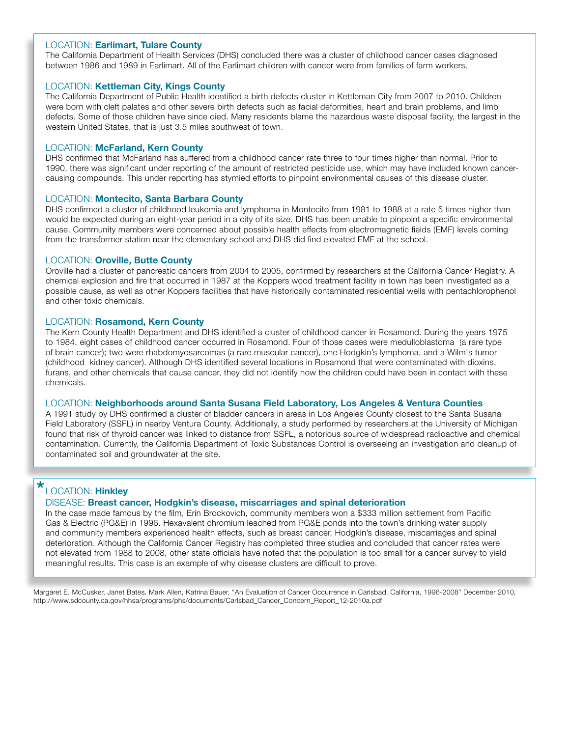### LOCATION: Earlimart, Tulare County

The California Department of Health Services (DHS) concluded there was a cluster of childhood cancer cases diagnosed between 1986 and 1989 in Earlimart. All of the Earlimart children with cancer were from families of farm workers.

### LOCATION: Kettleman City, Kings County

The California Department of Public Health identified a birth defects cluster in Kettleman City from 2007 to 2010. Children were born with cleft palates and other severe birth defects such as facial deformities, heart and brain problems, and limb defects. Some of those children have since died. Many residents blame the hazardous waste disposal facility, the largest in the western United States, that is just 3.5 miles southwest of town.

### LOCATION: McFarland, Kern County

DHS confirmed that McFarland has suffered from a childhood cancer rate three to four times higher than normal. Prior to 1990, there was significant under reporting of the amount of restricted pesticide use, which may have included known cancercausing compounds. This under reporting has stymied efforts to pinpoint environmental causes of this disease cluster.

#### LOCATION: Montecito, Santa Barbara County

DHS confirmed a cluster of childhood leukemia and lymphoma in Montecito from 1981 to 1988 at a rate 5 times higher than would be expected during an eight-year period in a city of its size. DHS has been unable to pinpoint a specific environmental cause. Community members were concerned about possible health effects from electromagnetic fields (EMF) levels coming from the transformer station near the elementary school and DHS did find elevated EMF at the school.

### LOCATION: Oroville, Butte County

Oroville had a cluster of pancreatic cancers from 2004 to 2005, confirmed by researchers at the California Cancer Registry. A chemical explosion and fire that occurred in 1987 at the Koppers wood treatment facility in town has been investigated as a possible cause, as well as other Koppers facilities that have historically contaminated residential wells with pentachlorophenol and other toxic chemicals.

### LOCATION: Rosamond, Kern County

The Kern County Health Department and DHS identified a cluster of childhood cancer in Rosamond. During the years 1975 to 1984, eight cases of childhood cancer occurred in Rosamond. Four of those cases were medulloblastoma (a rare type of brain cancer); two were rhabdomyosarcomas (a rare muscular cancer), one Hodgkin's lymphoma, and a Wilm's tumor (childhood kidney cancer). Although DHS identified several locations in Rosamond that were contaminated with dioxins, furans, and other chemicals that cause cancer, they did not identify how the children could have been in contact with these chemicals.

#### LOCATION: Neighborhoods around Santa Susana Field Laboratory, Los Angeles & Ventura Counties

A 1991 study by DHS confirmed a cluster of bladder cancers in areas in Los Angeles County closest to the Santa Susana Field Laboratory (SSFL) in nearby Ventura County. Additionally, a study performed by researchers at the University of Michigan found that risk of thyroid cancer was linked to distance from SSFL, a notorious source of widespread radioactive and chemical contamination. Currently, the California Department of Toxic Substances Control is overseeing an investigation and cleanup of contaminated soil and groundwater at the site.

#### LOCATION: Hinkley \*

### DISEASE: Breast cancer, Hodgkin's disease, miscarriages and spinal deterioration

Gas & Electric (PG&E) in 1996. Hexavalent chromium leached from PG&E ponds into the town's drinking water supply<br>and community members experienced health effects, such as breast cancer, Hodgkin's disease, miscarriages and In the case made famous by the film, Erin Brockovich, community members won a \$333 million settlement from Pacific Gas & Electric (PG&E) in 1996. Hexavalent chromium leached from PG&E ponds into the town's drinking water supply deterioration. Although the California Cancer Registry has completed three studies and concluded that cancer rates were not elevated from 1988 to 2008, other state officials have noted that the population is too small for a cancer survey to yield meaningful results. This case is an example of why disease clusters are difficult to prove.

Margaret E. McCusker, Janet Bates, Mark Allen, Katrina Bauer, "An Evaluation of Cancer Occurrence in Carlsbad, California, 1996-2008" December 2010, http://www.sdcounty.ca.gov/hhsa/programs/phs/documents/Carlsbad\_Cancer\_Concern\_Report\_12-2010a.pdf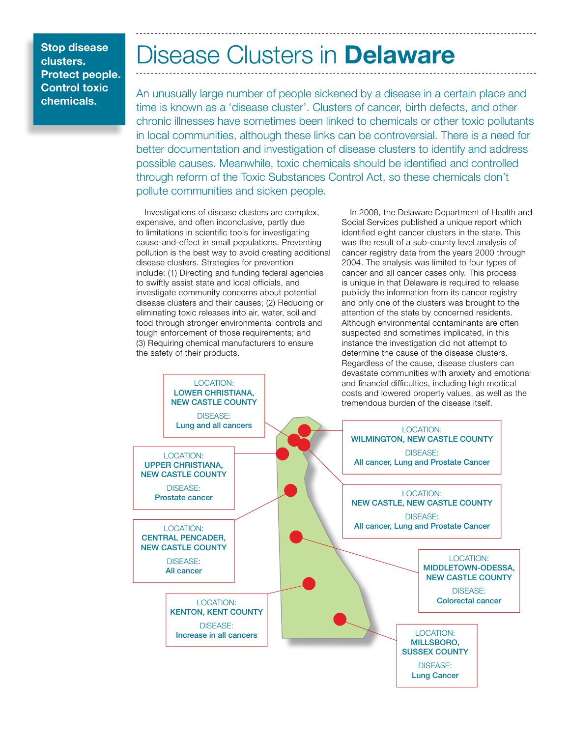# Disease Clusters in **Delaware**

An unusually large number of people sickened by a disease in a certain place and time is known as a 'disease cluster'. Clusters of cancer, birth defects, and other chronic illnesses have sometimes been linked to chemicals or other toxic pollutants in local communities, although these links can be controversial. There is a need for better documentation and investigation of disease clusters to identify and address possible causes. Meanwhile, toxic chemicals should be identified and controlled through reform of the Toxic Substances Control Act, so these chemicals don't pollute communities and sicken people.

Investigations of disease clusters are complex, expensive, and often inconclusive, partly due to limitations in scientific tools for investigating cause-and-effect in small populations. Preventing pollution is the best way to avoid creating additional disease clusters. Strategies for prevention include: (1) Directing and funding federal agencies to swiftly assist state and local officials, and investigate community concerns about potential disease clusters and their causes; (2) Reducing or eliminating toxic releases into air, water, soil and food through stronger environmental controls and tough enforcement of those requirements; and (3) Requiring chemical manufacturers to ensure the safety of their products.

> LOCATION: LOWER CHRISTIANA,

In 2008, the Delaware Department of Health and Social Services published a unique report which identified eight cancer clusters in the state. This was the result of a sub-county level analysis of cancer registry data from the years 2000 through 2004. The analysis was limited to four types of cancer and all cancer cases only. This process is unique in that Delaware is required to release publicly the information from its cancer registry and only one of the clusters was brought to the attention of the state by concerned residents. Although environmental contaminants are often suspected and sometimes implicated, in this instance the investigation did not attempt to determine the cause of the disease clusters. Regardless of the cause, disease clusters can devastate communities with anxiety and emotional and financial difficulties, including high medical costs and lowered property values, as well as the

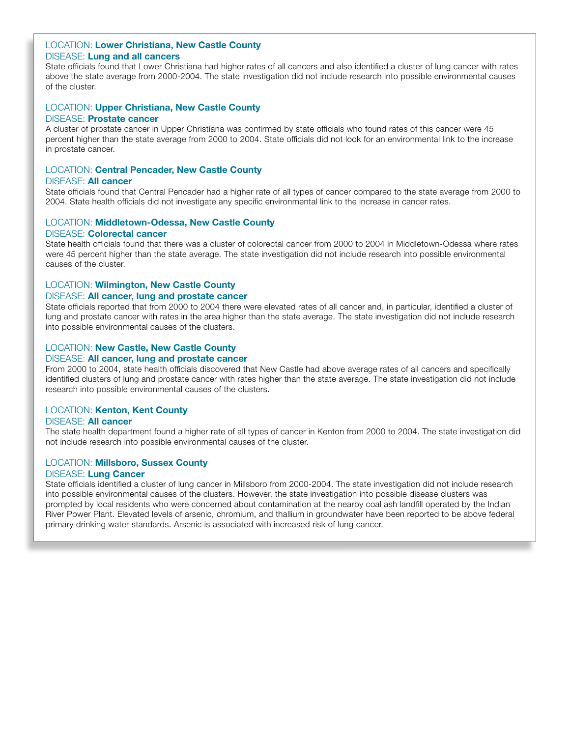### LOCATION: Lower Christiana, New Castle County DISEASE: Lung and all cancers

State officials found that Lower Christiana had higher rates of all cancers and also identified a cluster of lung cancer with rates above the state average from 2000-2004. The state investigation did not include research into possible environmental causes of the cluster.

#### LOCATION: Upper Christiana, New Castle County DISEASE: Prostate cancer

A cluster of prostate cancer in Upper Christiana was confirmed by state officials who found rates of this cancer were 45 percent higher than the state average from 2000 to 2004. State officials did not look for an environmental link to the increase in prostate cancer.

# LOCATION: Central Pencader, New Castle County

### DISEASE: All cancer

State officials found that Central Pencader had a higher rate of all types of cancer compared to the state average from 2000 to 2004. State health officials did not investigate any specific environmental link to the increase in cancer rates.

## LOCATION: Middletown-Odessa, New Castle County DISEASE: Colorectal cancer

State health officials found that there was a cluster of colorectal cancer from 2000 to 2004 in Middletown-Odessa where rates were 45 percent higher than the state average. The state investigation did not include research into possible environmental causes of the cluster.

# LOCATION: Wilmington, New Castle County

### DISEASE: All cancer, lung and prostate cancer

State officials reported that from 2000 to 2004 there were elevated rates of all cancer and, in particular, identified a cluster of lung and prostate cancer with rates in the area higher than the state average. The state investigation did not include research into possible environmental causes of the clusters.

# LOCATION: New Castle, New Castle County

### DISEASE: All cancer, lung and prostate cancer

From 2000 to 2004, state health officials discovered that New Castle had above average rates of all cancers and specifically identified clusters of lung and prostate cancer with rates higher than the state average. The state investigation did not include research into possible environmental causes of the clusters.

### LOCATION: Kenton, Kent County

### DISEASE: All cancer

The state health department found a higher rate of all types of cancer in Kenton from 2000 to 2004. The state investigation did not include research into possible environmental causes of the cluster.

### LOCATION: Millsboro, Sussex County

### DISEASE: Lung Cancer

State officials identified a cluster of lung cancer in Millsboro from 2000-2004. The state investigation did not include research into possible environmental causes of the clusters. However, the state investigation into possible disease clusters was prompted by local residents who were concerned about contamination at the nearby coal ash landfill operated by the Indian River Power Plant. Elevated levels of arsenic, chromium, and thallium in groundwater have been reported to be above federal primary drinking water standards. Arsenic is associated with increased risk of lung cancer.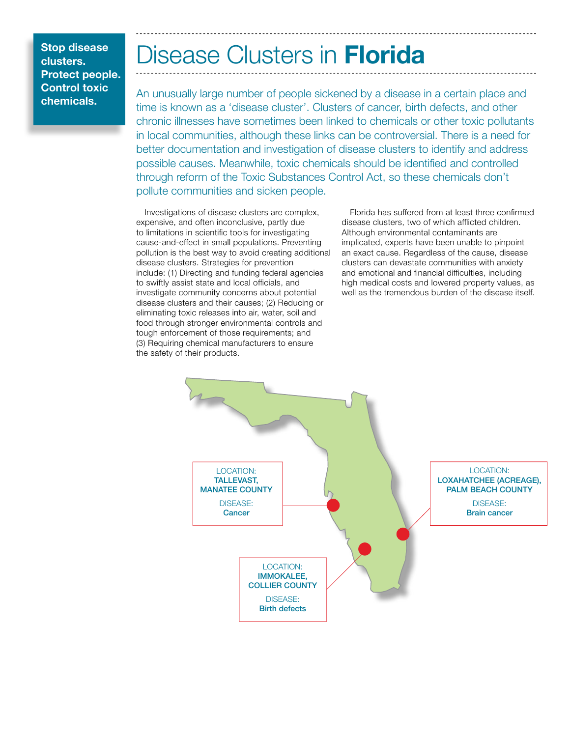# Disease Clusters in Florida

An unusually large number of people sickened by a disease in a certain place and time is known as a 'disease cluster'. Clusters of cancer, birth defects, and other chronic illnesses have sometimes been linked to chemicals or other toxic pollutants in local communities, although these links can be controversial. There is a need for better documentation and investigation of disease clusters to identify and address possible causes. Meanwhile, toxic chemicals should be identified and controlled through reform of the Toxic Substances Control Act, so these chemicals don't pollute communities and sicken people.

Investigations of disease clusters are complex, expensive, and often inconclusive, partly due to limitations in scientific tools for investigating cause-and-effect in small populations. Preventing pollution is the best way to avoid creating additional disease clusters. Strategies for prevention include: (1) Directing and funding federal agencies to swiftly assist state and local officials, and investigate community concerns about potential disease clusters and their causes; (2) Reducing or eliminating toxic releases into air, water, soil and food through stronger environmental controls and tough enforcement of those requirements; and (3) Requiring chemical manufacturers to ensure the safety of their products.

Florida has suffered from at least three confirmed disease clusters, two of which afflicted children. Although environmental contaminants are implicated, experts have been unable to pinpoint an exact cause. Regardless of the cause, disease clusters can devastate communities with anxiety and emotional and financial difficulties, including high medical costs and lowered property values, as well as the tremendous burden of the disease itself.

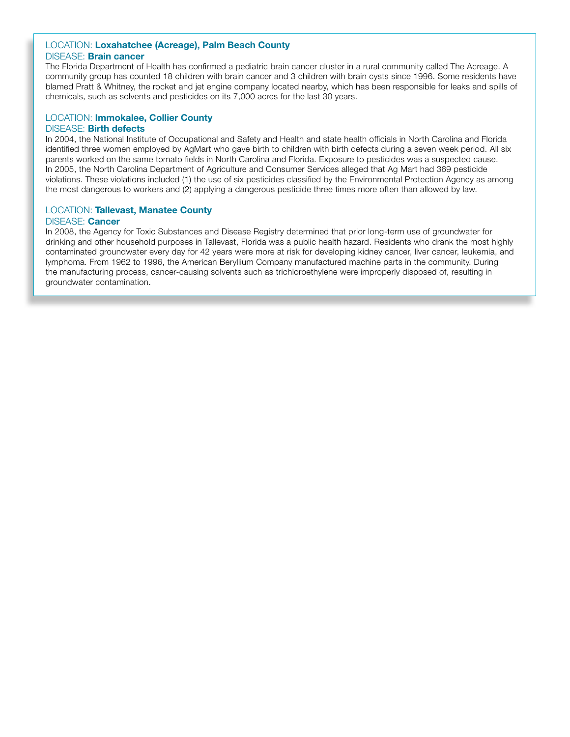#### LOCATION: Loxahatchee (Acreage), Palm Beach County DISEASE: Brain cancer

The Florida Department of Health has confirmed a pediatric brain cancer cluster in a rural community called The Acreage. A community group has counted 18 children with brain cancer and 3 children with brain cysts since 1996. Some residents have blamed Pratt & Whitney, the rocket and jet engine company located nearby, which has been responsible for leaks and spills of chemicals, such as solvents and pesticides on its 7,000 acres for the last 30 years.

# LOCATION: Immokalee, Collier County DISEASE: Birth defects

parents worked on the same tomato lields in North Carolina and Florida. Exposure to pesticides was a suspected caus<br>In 2005, the North Carolina Department of Agriculture and Consumer Services alleged that Ag Mart had 369 p In 2004, the National Institute of Occupational and Safety and Health and state health officials in North Carolina and Florida identified three women employed by AgMart who gave birth to children with birth defects during a seven week period. All six parents worked on the same tomato fields in North Carolina and Florida. Exposure to pesticides was a suspected cause. violations. These violations included (1) the use of six pesticides classified by the Environmental Protection Agency as among the most dangerous to workers and (2) applying a dangerous pesticide three times more often than allowed by law.

### LOCATION: Tallevast, Manatee County DISEASE: Cancer

In 2008, the Agency for Toxic Substances and Disease Registry determined that prior long-term use of groundwater for drinking and other household purposes in Tallevast, Florida was a public health hazard. Residents who drank the most highly contaminated groundwater every day for 42 years were more at risk for developing kidney cancer, liver cancer, leukemia, and lymphoma. From 1962 to 1996, the American Beryllium Company manufactured machine parts in the community. During the manufacturing process, cancer-causing solvents such as trichloroethylene were improperly disposed of, resulting in groundwater contamination.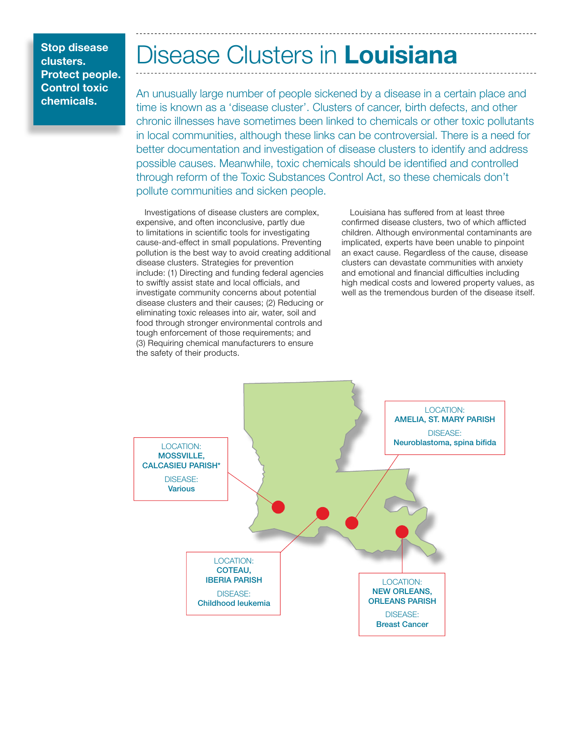# Disease Clusters in Louisiana

An unusually large number of people sickened by a disease in a certain place and time is known as a 'disease cluster'. Clusters of cancer, birth defects, and other chronic illnesses have sometimes been linked to chemicals or other toxic pollutants in local communities, although these links can be controversial. There is a need for better documentation and investigation of disease clusters to identify and address possible causes. Meanwhile, toxic chemicals should be identified and controlled through reform of the Toxic Substances Control Act, so these chemicals don't pollute communities and sicken people.

Investigations of disease clusters are complex, expensive, and often inconclusive, partly due to limitations in scientific tools for investigating cause-and-effect in small populations. Preventing pollution is the best way to avoid creating additional disease clusters. Strategies for prevention include: (1) Directing and funding federal agencies to swiftly assist state and local officials, and investigate community concerns about potential disease clusters and their causes; (2) Reducing or eliminating toxic releases into air, water, soil and food through stronger environmental controls and tough enforcement of those requirements; and (3) Requiring chemical manufacturers to ensure the safety of their products.

Louisiana has suffered from at least three confirmed disease clusters, two of which afflicted children. Although environmental contaminants are implicated, experts have been unable to pinpoint an exact cause. Regardless of the cause, disease clusters can devastate communities with anxiety and emotional and financial difficulties including high medical costs and lowered property values, as well as the tremendous burden of the disease itself.

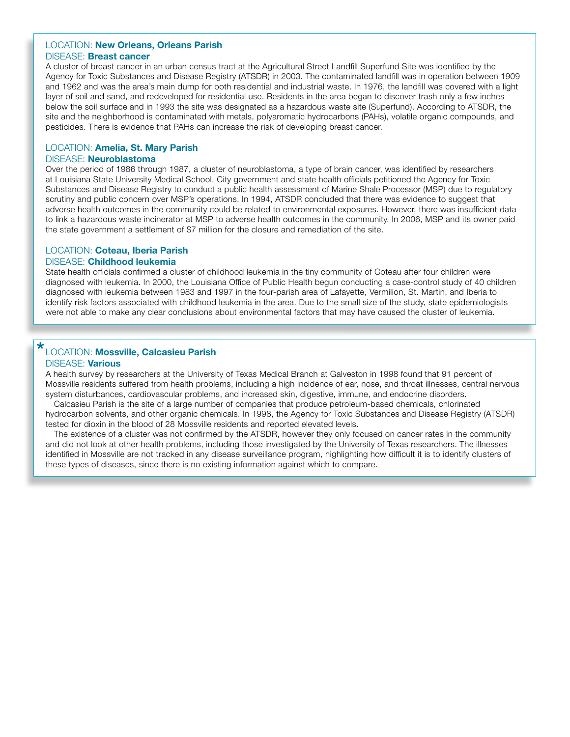# LOCATION: New Orleans, Orleans Parish

# DISEASE: Breast cancer

A cluster of breast cancer in an urban census tract at the Agricultural Street Landfill Superfund Site was identified by the Agency for Toxic Substances and Disease Registry (ATSDR) in 2003. The contaminated landfill was in operation between 1909 and 1962 and was the area's main dump for both residential and industrial waste. In 1976, the landfill was covered with a light layer of soil and sand, and redeveloped for residential use. Residents in the area began to discover trash only a few inches below the soil surface and in 1993 the site was designated as a hazardous waste site (Superfund). According to ATSDR, the site and the neighborhood is contaminated with metals, polyaromatic hydrocarbons (PAHs), volatile organic compounds, and pesticides. There is evidence that PAHs can increase the risk of developing breast cancer.

# LOCATION: Amelia, St. Mary Parish

# DISEASE: Neuroblastoma

at Louisiana State University Medical School. City government and state health officials petitioned the Agency for Toxic Over the period of 1986 through 1987, a cluster of neuroblastoma, a type of brain cancer, was identified by researchers Substances and Disease Registry to conduct a public health assessment of Marine Shale Processor (MSP) due to regulatory scrutiny and public concern over MSP's operations. In 1994, ATSDR concluded that there was evidence to suggest that adverse health outcomes in the community could be related to environmental exposures. However, there was insufficient data to link a hazardous waste incinerator at MSP to adverse health outcomes in the community. In 2006, MSP and its owner paid the state government a settlement of \$7 million for the closure and remediation of the site.

# LOCATION: Coteau, Iberia Parish

### DISEASE: Childhood leukemia

State health officials confirmed a cluster of childhood leukemia in the tiny community of Coteau after four children were diagnosed with leukemia. In 2000, the Louisiana Office of Public Health begun conducting a case-control study of 40 children diagnosed with leukemia between 1983 and 1997 in the four-parish area of Lafayette, Vermilion, St. Martin, and Iberia to identify risk factors associated with childhood leukemia in the area. Due to the small size of the study, state epidemiologists were not able to make any clear conclusions about environmental factors that may have caused the cluster of leukemia.

# LOCATION: Mossville, Calcasieu Parish \*

# DISEASE: Various

A health survey by researchers at the University of Texas Medical Branch at Galveston in 1998 found that 91 percent of Mossville residents suffered from health problems, including a high incidence of ear, nose, and throat illnesses, central nervous system disturbances, cardiovascular problems, and increased skin, digestive, immune, and endocrine disorders.

Ualcasieu Parish is the site of a large number of companies that produce petroleum-based chemicals, chlorinated<br>hydrocarbon solvents, and other organic chemicals. In 1998, the Agency for Toxic Substances and Disease Regist Calcasieu Parish is the site of a large number of companies that produce petroleum-based chemicals, chlorinated tested for dioxin in the blood of 28 Mossville residents and reported elevated levels.

The existence of a cluster was not confirmed by the ATSDR, however they only focused on cancer rates in the community and did not look at other health problems, including those investigated by the University of Texas researchers. The illnesses identified in Mossville are not tracked in any disease surveillance program, highlighting how difficult it is to identify clusters of these types of diseases, since there is no existing information against which to compare.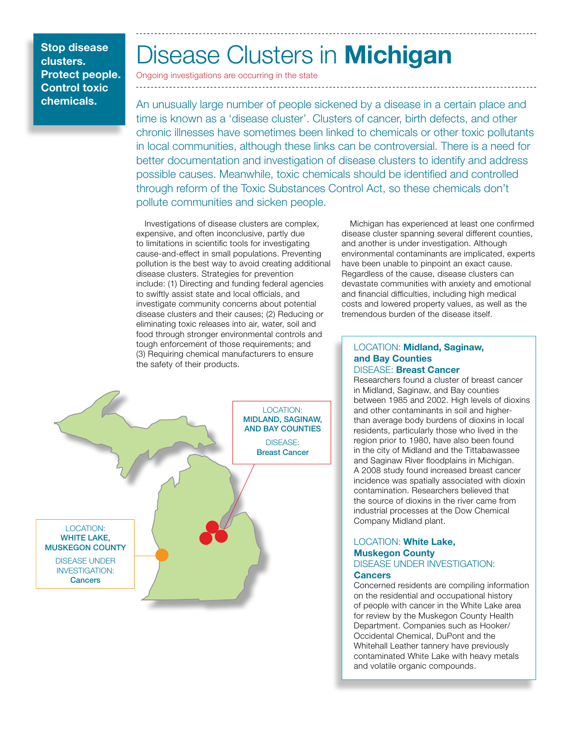# Disease Clusters in Michigan

Ongoing investigations are occurring in the state

**chemicals.** An unusually large number of people sickened by a disease in a certain place and time is known as a 'disease cluster'. Clusters of cancer, birth defects, and other chronic illnesses have sometimes been linked to chemicals or other toxic pollutants in local communities, although these links can be controversial. There is a need for better documentation and investigation of disease clusters to identify and address possible causes. Meanwhile, toxic chemicals should be identified and controlled through reform of the Toxic Substances Control Act, so these chemicals don't pollute communities and sicken people.

> Investigations of disease clusters are complex, expensive, and often inconclusive, partly due to limitations in scientific tools for investigating cause-and-effect in small populations. Preventing pollution is the best way to avoid creating additional disease clusters. Strategies for prevention include: (1) Directing and funding federal agencies to swiftly assist state and local officials, and investigate community concerns about potential disease clusters and their causes; (2) Reducing or eliminating toxic releases into air, water, soil and food through stronger environmental controls and tough enforcement of those requirements; and (3) Requiring chemical manufacturers to ensure the safety of their products.



Michigan has experienced at least one confirmed disease cluster spanning several different counties, and another is under investigation. Although environmental contaminants are implicated, experts have been unable to pinpoint an exact cause. Regardless of the cause, disease clusters can devastate communities with anxiety and emotional and financial difficulties, including high medical costs and lowered property values, as well as the tremendous burden of the disease itself.

### LOCATION: Midland, Saginaw, and Bay Counties DISEASE: Breast Cancer

industrial processes at the Dow Chemical Researchers found a cluster of breast cancer in Midland, Saginaw, and Bay counties between 1985 and 2002. High levels of dioxins and other contaminants in soil and higherthan average body burdens of dioxins in local residents, particularly those who lived in the region prior to 1980, have also been found in the city of Midland and the Tittabawassee and Saginaw River floodplains in Michigan. A 2008 study found increased breast cancer incidence was spatially associated with dioxin contamination. Researchers believed that the source of dioxins in the river came from Company Midland plant.

### LOCATION: White Lake, Muskegon County DISEASE UNDER INVESTIGATION: **Cancers**

Concerned residents are compiling information on the residential and occupational history of people with cancer in the White Lake area for review by the Muskegon County Health Department. Companies such as Hooker/ Occidental Chemical, DuPont and the Whitehall Leather tannery have previously contaminated White Lake with heavy metals and volatile organic compounds.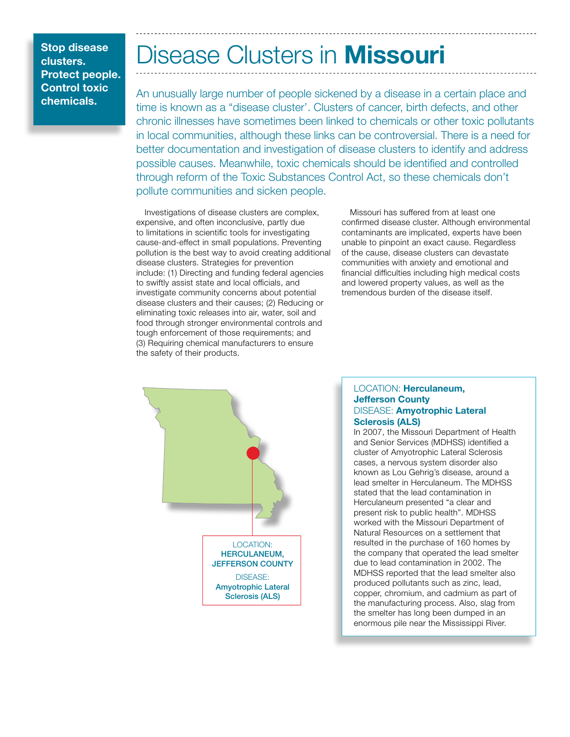# Disease Clusters in Missouri

An unusually large number of people sickened by a disease in a certain place and time is known as a "disease cluster'. Clusters of cancer, birth defects, and other chronic illnesses have sometimes been linked to chemicals or other toxic pollutants in local communities, although these links can be controversial. There is a need for better documentation and investigation of disease clusters to identify and address possible causes. Meanwhile, toxic chemicals should be identified and controlled through reform of the Toxic Substances Control Act, so these chemicals don't pollute communities and sicken people.

Investigations of disease clusters are complex, expensive, and often inconclusive, partly due to limitations in scientific tools for investigating cause-and-effect in small populations. Preventing pollution is the best way to avoid creating additional disease clusters. Strategies for prevention include: (1) Directing and funding federal agencies to swiftly assist state and local officials, and investigate community concerns about potential disease clusters and their causes; (2) Reducing or eliminating toxic releases into air, water, soil and food through stronger environmental controls and tough enforcement of those requirements; and (3) Requiring chemical manufacturers to ensure the safety of their products.

Missouri has suffered from at least one confirmed disease cluster. Although environmental contaminants are implicated, experts have been unable to pinpoint an exact cause. Regardless of the cause, disease clusters can devastate communities with anxiety and emotional and financial difficulties including high medical costs and lowered property values, as well as the tremendous burden of the disease itself.



### LOCATION: Herculaneum, Jefferson County DISEASE: Amyotrophic Lateral Sclerosis (ALS)

Herculaneum presented "a clear and<br>Recept rights public booth", MDUSS In 2007, the Missouri Department of Health and Senior Services (MDHSS) identified a cluster of Amyotrophic Lateral Sclerosis cases, a nervous system disorder also known as Lou Gehrig's disease, around a lead smelter in Herculaneum. The MDHSS stated that the lead contamination in present risk to public health". MDHSS worked with the Missouri Department of Natural Resources on a settlement that resulted in the purchase of 160 homes by the company that operated the lead smelter due to lead contamination in 2002. The MDHSS reported that the lead smelter also produced pollutants such as zinc, lead, copper, chromium, and cadmium as part of the manufacturing process. Also, slag from the smelter has long been dumped in an enormous pile near the Mississippi River.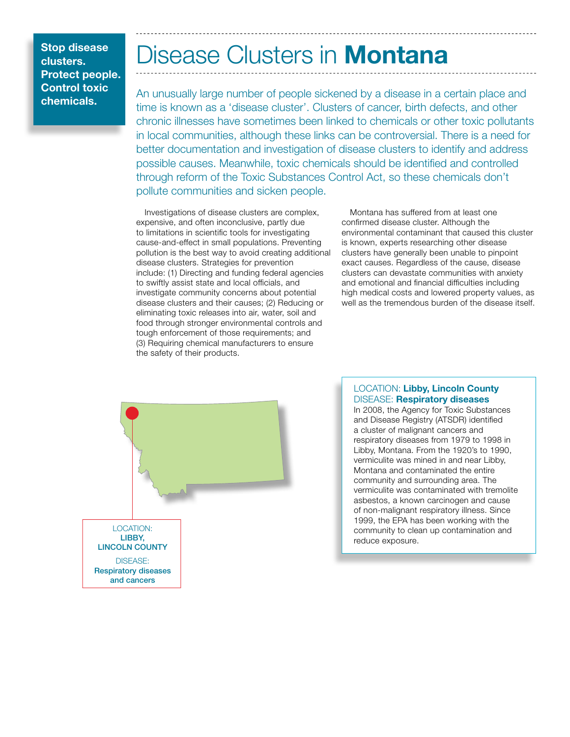# Disease Clusters in **Montana**

An unusually large number of people sickened by a disease in a certain place and time is known as a 'disease cluster'. Clusters of cancer, birth defects, and other chronic illnesses have sometimes been linked to chemicals or other toxic pollutants in local communities, although these links can be controversial. There is a need for better documentation and investigation of disease clusters to identify and address possible causes. Meanwhile, toxic chemicals should be identified and controlled through reform of the Toxic Substances Control Act, so these chemicals don't pollute communities and sicken people.

Investigations of disease clusters are complex, expensive, and often inconclusive, partly due to limitations in scientific tools for investigating cause-and-effect in small populations. Preventing pollution is the best way to avoid creating additional disease clusters. Strategies for prevention include: (1) Directing and funding federal agencies to swiftly assist state and local officials, and investigate community concerns about potential disease clusters and their causes; (2) Reducing or eliminating toxic releases into air, water, soil and food through stronger environmental controls and tough enforcement of those requirements; and (3) Requiring chemical manufacturers to ensure the safety of their products.

Montana has suffered from at least one confirmed disease cluster. Although the environmental contaminant that caused this cluster is known, experts researching other disease clusters have generally been unable to pinpoint exact causes. Regardless of the cause, disease clusters can devastate communities with anxiety and emotional and financial difficulties including high medical costs and lowered property values, as well as the tremendous burden of the disease itself.



# LOCATION: Libby, Lincoln County DISEASE: Respiratory diseases

vermiculite was mirred in and near Library<br>Montana and contaminated the entire In 2008, the Agency for Toxic Substances and Disease Registry (ATSDR) identified a cluster of malignant cancers and respiratory diseases from 1979 to 1998 in Libby, Montana. From the 1920's to 1990, vermiculite was mined in and near Libby, community and surrounding area. The vermiculite was contaminated with tremolite asbestos, a known carcinogen and cause of non-malignant respiratory illness. Since 1999, the EPA has been working with the community to clean up contamination and reduce exposure.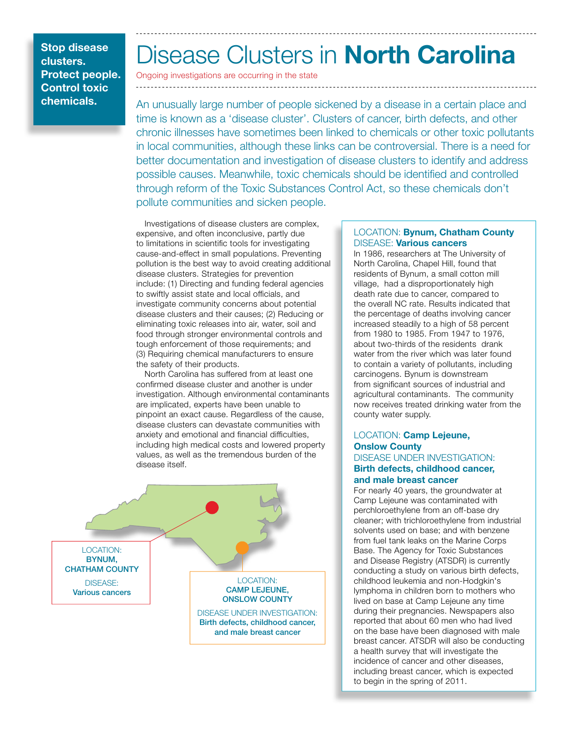# Disease Clusters in North Carolina

Ongoing investigations are occurring in the state

An unusually large number of people sickened by a disease in a certain place and time is known as a 'disease cluster'. Clusters of cancer, birth defects, and other chronic illnesses have sometimes been linked to chemicals or other toxic pollutants in local communities, although these links can be controversial. There is a need for better documentation and investigation of disease clusters to identify and address possible causes. Meanwhile, toxic chemicals should be identified and controlled through reform of the Toxic Substances Control Act, so these chemicals don't pollute communities and sicken people.

Investigations of disease clusters are complex, expensive, and often inconclusive, partly due to limitations in scientific tools for investigating cause-and-effect in small populations. Preventing pollution is the best way to avoid creating additional disease clusters. Strategies for prevention include: (1) Directing and funding federal agencies to swiftly assist state and local officials, and investigate community concerns about potential disease clusters and their causes; (2) Reducing or eliminating toxic releases into air, water, soil and food through stronger environmental controls and tough enforcement of those requirements; and (3) Requiring chemical manufacturers to ensure the safety of their products.

North Carolina has suffered from at least one confirmed disease cluster and another is under investigation. Although environmental contaminants are implicated, experts have been unable to pinpoint an exact cause. Regardless of the cause, disease clusters can devastate communities with anxiety and emotional and financial difficulties, including high medical costs and lowered property values, as well as the tremendous burden of the disease itself.



### LOCATION: Bynum, Chatham County DISEASE: Various cancers

In 1986, researchers at The University of North Carolina, Chapel Hill, found that residents of Bynum, a small cotton mill village, had a disproportionately high death rate due to cancer, compared to the overall NC rate. Results indicated that the percentage of deaths involving cancer increased steadily to a high of 58 percent from 1980 to 1985. From 1947 to 1976, about two-thirds of the residents drank water from the river which was later found to contain a variety of pollutants, including carcinogens. Bynum is downstream from significant sources of industrial and agricultural contaminants. The community now receives treated drinking water from the county water supply.

### **DISEASE UNDER INVESTIGATION:** LOCATION: Camp Lejeune, Onslow County Birth defects, childhood cancer,

# and male breast cancer

For nearly 40 years, the groundwater at Camp Lejeune was contaminated with perchloroethylene from an off-base dry cleaner; with trichloroethylene from industrial solvents used on base; and with benzene from fuel tank leaks on the Marine Corps Base. The Agency for Toxic Substances and Disease Registry (ATSDR) is currently conducting a study on various birth defects, childhood leukemia and non-Hodgkin's lymphoma in children born to mothers who lived on base at Camp Lejeune any time during their pregnancies. Newspapers also reported that about 60 men who had lived on the base have been diagnosed with male breast cancer. ATSDR will also be conducting a health survey that will investigate the incidence of cancer and other diseases, including breast cancer, which is expected to begin in the spring of 2011.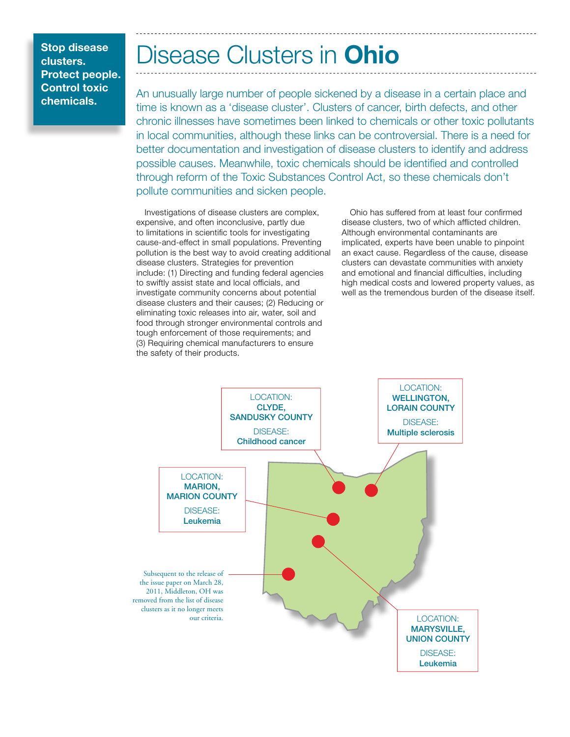clusters. Protect people. Control toxic chemicals.

# Stop disease **Disease Clusters in Ohio**

An unusually large number of people sickened by a disease in a certain place and time is known as a 'disease cluster'. Clusters of cancer, birth defects, and other chronic illnesses have sometimes been linked to chemicals or other toxic pollutants in local communities, although these links can be controversial. There is a need for better documentation and investigation of disease clusters to identify and address possible causes. Meanwhile, toxic chemicals should be identified and controlled through reform of the Toxic Substances Control Act, so these chemicals don't pollute communities and sicken people.

Investigations of disease clusters are complex, expensive, and often inconclusive, partly due to limitations in scientific tools for investigating cause-and-effect in small populations. Preventing pollution is the best way to avoid creating additional disease clusters. Strategies for prevention include: (1) Directing and funding federal agencies to swiftly assist state and local officials, and investigate community concerns about potential disease clusters and their causes; (2) Reducing or eliminating toxic releases into air, water, soil and food through stronger environmental controls and tough enforcement of those requirements; and (3) Requiring chemical manufacturers to ensure the safety of their products.

Ohio has suffered from at least four confirmed disease clusters, two of which afflicted children. Although environmental contaminants are implicated, experts have been unable to pinpoint an exact cause. Regardless of the cause, disease clusters can devastate communities with anxiety and emotional and financial difficulties, including high medical costs and lowered property values, as well as the tremendous burden of the disease itself.

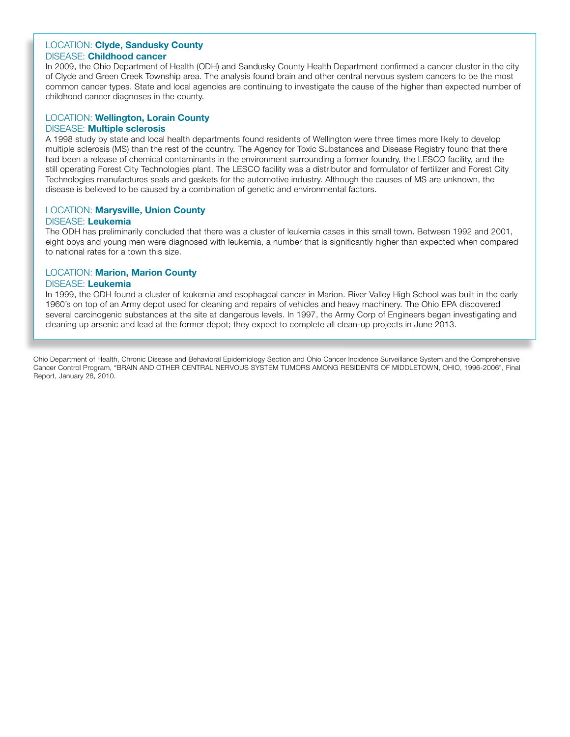### LOCATION: Clyde, Sandusky County DISEASE: Childhood cancer

In 2009, the Ohio Department of Health (ODH) and Sandusky County Health Department confirmed a cancer cluster in the city of Clyde and Green Creek Township area. The analysis found brain and other central nervous system cancers to be the most common cancer types. State and local agencies are continuing to investigate the cause of the higher than expected number of childhood cancer diagnoses in the county.

# LOCATION: Wellington, Lorain County

### DISEASE: Multiple sclerosis

disease is believed to be caused by a combination of genetic and environmental factors. A 1998 study by state and local health departments found residents of Wellington were three times more likely to develop multiple sclerosis (MS) than the rest of the country. The Agency for Toxic Substances and Disease Registry found that there had been a release of chemical contaminants in the environment surrounding a former foundry, the LESCO facility, and the still operating Forest City Technologies plant. The LESCO facility was a distributor and formulator of fertilizer and Forest City Technologies manufactures seals and gaskets for the automotive industry. Although the causes of MS are unknown, the

### LOCATION: Marysville, Union County

### DISEASE: Leukemia

The ODH has preliminarily concluded that there was a cluster of leukemia cases in this small town. Between 1992 and 2001, eight boys and young men were diagnosed with leukemia, a number that is significantly higher than expected when compared to national rates for a town this size.

# LOCATION: Marion, Marion County

### DISEASE: Leukemia

In 1999, the ODH found a cluster of leukemia and esophageal cancer in Marion. River Valley High School was built in the early 1960's on top of an Army depot used for cleaning and repairs of vehicles and heavy machinery. The Ohio EPA discovered several carcinogenic substances at the site at dangerous levels. In 1997, the Army Corp of Engineers began investigating and cleaning up arsenic and lead at the former depot; they expect to complete all clean-up projects in June 2013.

Ohio Department of Health, Chronic Disease and Behavioral Epidemiology Section and Ohio Cancer Incidence Surveillance System and the Comprehensive Cancer Control Program, "BRAIN AND OTHER CENTRAL NERVOUS SYSTEM TUMORS AMONG RESIDENTS OF MIDDLETOWN, OHIO, 1996-2006", Final Report, January 26, 2010.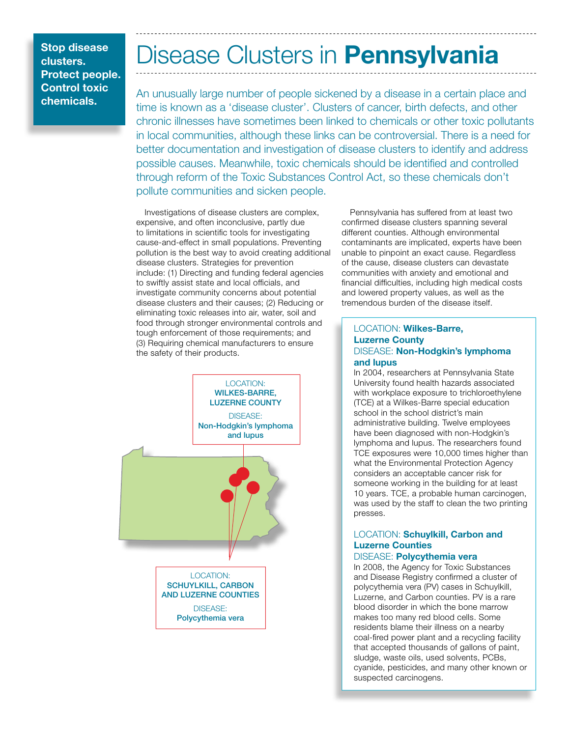# Disease Clusters in Pennsylvania

An unusually large number of people sickened by a disease in a certain place and time is known as a 'disease cluster'. Clusters of cancer, birth defects, and other chronic illnesses have sometimes been linked to chemicals or other toxic pollutants in local communities, although these links can be controversial. There is a need for better documentation and investigation of disease clusters to identify and address possible causes. Meanwhile, toxic chemicals should be identified and controlled through reform of the Toxic Substances Control Act, so these chemicals don't pollute communities and sicken people.

Investigations of disease clusters are complex, expensive, and often inconclusive, partly due to limitations in scientific tools for investigating cause-and-effect in small populations. Preventing pollution is the best way to avoid creating additional disease clusters. Strategies for prevention include: (1) Directing and funding federal agencies to swiftly assist state and local officials, and investigate community concerns about potential disease clusters and their causes; (2) Reducing or eliminating toxic releases into air, water, soil and food through stronger environmental controls and tough enforcement of those requirements; and (3) Requiring chemical manufacturers to ensure the safety of their products.



Pennsylvania has suffered from at least two confirmed disease clusters spanning several different counties. Although environmental contaminants are implicated, experts have been unable to pinpoint an exact cause. Regardless of the cause, disease clusters can devastate communities with anxiety and emotional and financial difficulties, including high medical costs and lowered property values, as well as the tremendous burden of the disease itself.

### LOCATION: Wilkes-Barre, Luzerne County DISEASE: Non-Hodgkin's lymphoma and lupus

was used by the staff to clean the two printing In 2004, researchers at Pennsylvania State University found health hazards associated with workplace exposure to trichloroethylene (TCE) at a Wilkes-Barre special education school in the school district's main administrative building. Twelve employees have been diagnosed with non-Hodgkin's lymphoma and lupus. The researchers found TCE exposures were 10,000 times higher than what the Environmental Protection Agency considers an acceptable cancer risk for someone working in the building for at least 10 years. TCE, a probable human carcinogen, presses.

# LOCATION: Schuylkill, Carbon and Luzerne Counties

# DISEASE: Polycythemia vera

In 2008, the Agency for Toxic Substances and Disease Registry confirmed a cluster of polycythemia vera (PV) cases in Schuylkill, Luzerne, and Carbon counties. PV is a rare blood disorder in which the bone marrow makes too many red blood cells. Some residents blame their illness on a nearby coal-fired power plant and a recycling facility that accepted thousands of gallons of paint, sludge, waste oils, used solvents, PCBs, cyanide, pesticides, and many other known or suspected carcinogens.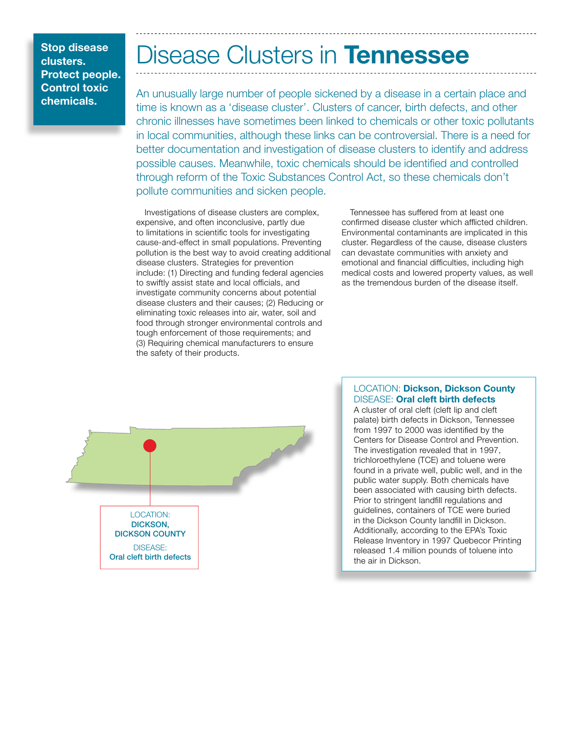# Disease Clusters in Tennessee

An unusually large number of people sickened by a disease in a certain place and time is known as a 'disease cluster'. Clusters of cancer, birth defects, and other chronic illnesses have sometimes been linked to chemicals or other toxic pollutants in local communities, although these links can be controversial. There is a need for better documentation and investigation of disease clusters to identify and address possible causes. Meanwhile, toxic chemicals should be identified and controlled through reform of the Toxic Substances Control Act, so these chemicals don't pollute communities and sicken people.

Investigations of disease clusters are complex, expensive, and often inconclusive, partly due to limitations in scientific tools for investigating cause-and-effect in small populations. Preventing pollution is the best way to avoid creating additional disease clusters. Strategies for prevention include: (1) Directing and funding federal agencies to swiftly assist state and local officials, and investigate community concerns about potential disease clusters and their causes; (2) Reducing or eliminating toxic releases into air, water, soil and food through stronger environmental controls and tough enforcement of those requirements; and (3) Requiring chemical manufacturers to ensure the safety of their products.

Tennessee has suffered from at least one confirmed disease cluster which afflicted children. Environmental contaminants are implicated in this cluster. Regardless of the cause, disease clusters can devastate communities with anxiety and emotional and financial difficulties, including high medical costs and lowered property values, as well as the tremendous burden of the disease itself.



# LOCATION: Dickson, Dickson County DISEASE: Oral cleft birth defects

found in a private well, public well, and in the<br>public water supply Bath shamingle bays A cluster of oral cleft (cleft lip and cleft palate) birth defects in Dickson, Tennessee from 1997 to 2000 was identified by the Centers for Disease Control and Prevention. The investigation revealed that in 1997, trichloroethylene (TCE) and toluene were public water supply. Both chemicals have been associated with causing birth defects. Prior to stringent landfill regulations and guidelines, containers of TCE were buried in the Dickson County landfill in Dickson. Additionally, according to the EPA's Toxic Release Inventory in 1997 Quebecor Printing released 1.4 million pounds of toluene into the air in Dickson.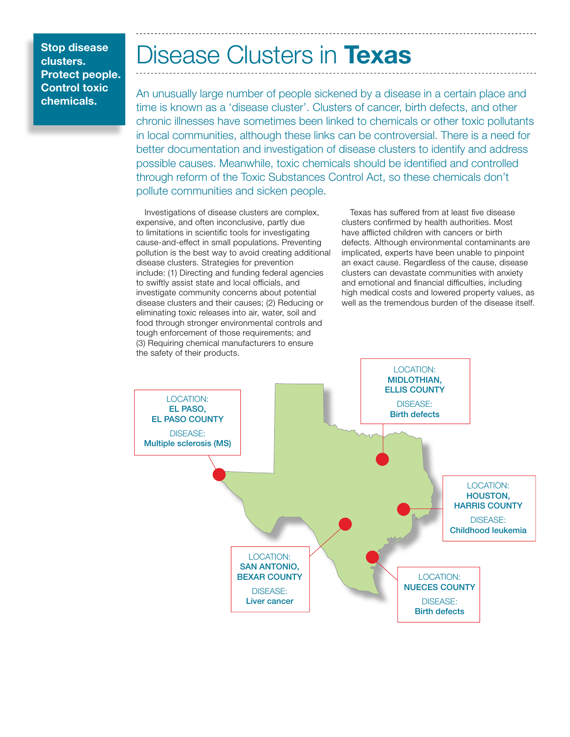clusters. Protect people. Control toxic chemicals.

# Stop disease **Disease Clusters in Texas**

An unusually large number of people sickened by a disease in a certain place and time is known as a 'disease cluster'. Clusters of cancer, birth defects, and other chronic illnesses have sometimes been linked to chemicals or other toxic pollutants in local communities, although these links can be controversial. There is a need for better documentation and investigation of disease clusters to identify and address possible causes. Meanwhile, toxic chemicals should be identified and controlled through reform of the Toxic Substances Control Act, so these chemicals don't pollute communities and sicken people.

Investigations of disease clusters are complex, expensive, and often inconclusive, partly due to limitations in scientific tools for investigating cause-and-effect in small populations. Preventing pollution is the best way to avoid creating additional disease clusters. Strategies for prevention include: (1) Directing and funding federal agencies to swiftly assist state and local officials, and investigate community concerns about potential disease clusters and their causes; (2) Reducing or eliminating toxic releases into air, water, soil and food through stronger environmental controls and tough enforcement of those requirements; and (3) Requiring chemical manufacturers to ensure the safety of their products.

Texas has suffered from at least five disease clusters confirmed by health authorities. Most have afflicted children with cancers or birth defects. Although environmental contaminants are implicated, experts have been unable to pinpoint an exact cause. Regardless of the cause, disease clusters can devastate communities with anxiety and emotional and financial difficulties, including high medical costs and lowered property values, as well as the tremendous burden of the disease itself.

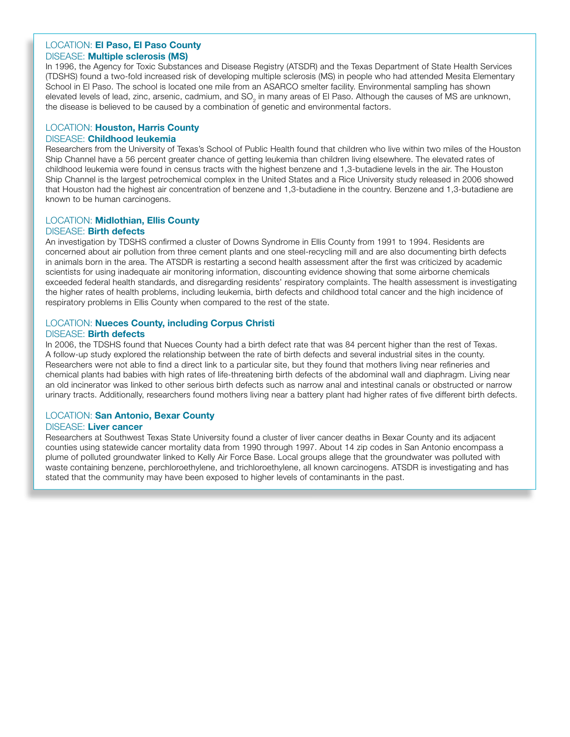### LOCATION: El Paso, El Paso County DISEASE: Multiple sclerosis (MS)

In 1996, the Agency for Toxic Substances and Disease Registry (ATSDR) and the Texas Department of State Health Services (TDSHS) found a two-fold increased risk of developing multiple sclerosis (MS) in people who had attended Mesita Elementary School in El Paso. The school is located one mile from an ASARCO smelter facility. Environmental sampling has shown elevated levels of lead, zinc, arsenic, cadmium, and  $SO<sub>2</sub>$  in many areas of El Paso. Although the causes of MS are unknown, the disease is believed to be caused by a combination of genetic and environmental factors.

# LOCATION: Houston, Harris County

# DISEASE: Childhood leukemia

Researchers from the University of Texas's School of Public Health found that children who live within two miles of the Houston Ship Channel have a 56 percent greater chance of getting leukemia than children living elsewhere. The elevated rates of childhood leukemia were found in census tracts with the highest benzene and 1,3-butadiene levels in the air. The Houston Ship Channel is the largest petrochemical complex in the United States and a Rice University study released in 2006 showed that Houston had the highest air concentration of benzene and 1,3-butadiene in the country. Benzene and 1,3-butadiene are known to be human carcinogens.

# LOCATION: Midlothian, Ellis County DISEASE: Birth defects

in animals born in the area. The ATSDR is restarting a second health assessment after the first was criticized by academic An investigation by TDSHS confirmed a cluster of Downs Syndrome in Ellis County from 1991 to 1994. Residents are concerned about air pollution from three cement plants and one steel-recycling mill and are also documenting birth defects scientists for using inadequate air monitoring information, discounting evidence showing that some airborne chemicals exceeded federal health standards, and disregarding residents' respiratory complaints. The health assessment is investigating the higher rates of health problems, including leukemia, birth defects and childhood total cancer and the high incidence of respiratory problems in Ellis County when compared to the rest of the state.

# LOCATION: Nueces County, including Corpus Christi

DISEASE: Birth defects

In 2006, the TDSHS found that Nueces County had a birth defect rate that was 84 percent higher than the rest of Texas. A follow-up study explored the relationship between the rate of birth defects and several industrial sites in the county. Researchers were not able to find a direct link to a particular site, but they found that mothers living near refineries and chemical plants had babies with high rates of life-threatening birth defects of the abdominal wall and diaphragm. Living near an old incinerator was linked to other serious birth defects such as narrow anal and intestinal canals or obstructed or narrow urinary tracts. Additionally, researchers found mothers living near a battery plant had higher rates of five different birth defects.

# LOCATION: San Antonio, Bexar County

### DISEASE: Liver cancer

Researchers at Southwest Texas State University found a cluster of liver cancer deaths in Bexar County and its adjacent counties using statewide cancer mortality data from 1990 through 1997. About 14 zip codes in San Antonio encompass a plume of polluted groundwater linked to Kelly Air Force Base. Local groups allege that the groundwater was polluted with waste containing benzene, perchloroethylene, and trichloroethylene, all known carcinogens. ATSDR is investigating and has stated that the community may have been exposed to higher levels of contaminants in the past.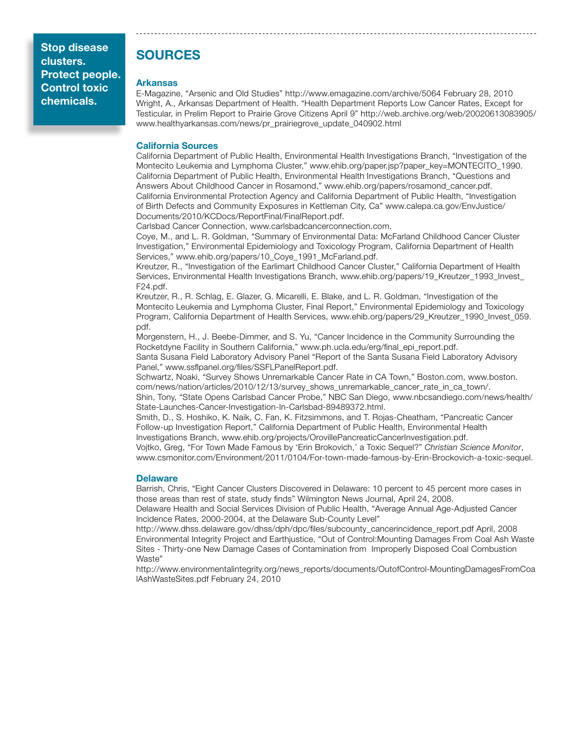# SOURCES

### Arkansas

E-Magazine, "Arsenic and Old Studies" http://www.emagazine.com/archive/5064 February 28, 2010 Wright, A., Arkansas Department of Health. "Health Department Reports Low Cancer Rates, Except for Testicular, in Prelim Report to Prairie Grove Citizens April 9" http://web.archive.org/web/20020613083905/ www.healthyarkansas.com/news/pr\_prairiegrove\_update\_040902.html

### California Sources

California Department of Public Health, Environmental Health Investigations Branch, "Investigation of the Montecito Leukemia and Lymphoma Cluster," www.ehib.org/paper.jsp?paper\_key=MONTECITO\_1990. California Department of Public Health, Environmental Health Investigations Branch, "Questions and Answers About Childhood Cancer in Rosamond," www.ehib.org/papers/rosamond\_cancer.pdf. California Environmental Protection Agency and California Department of Public Health, "Investigation of Birth Defects and Community Exposures in Kettleman City, Ca" www.calepa.ca.gov/EnvJustice/ Documents/2010/KCDocs/ReportFinal/FinalReport.pdf.

Carlsbad Cancer Connection, www.carlsbadcancerconnection.com.

Coye, M., and L. R. Goldman, "Summary of Environmental Data: McFarland Childhood Cancer Cluster Investigation," Environmental Epidemiology and Toxicology Program, California Department of Health Services," www.ehib.org/papers/10\_Coye\_1991\_McFarland.pdf.

Kreutzer, R., "Investigation of the Earlimart Childhood Cancer Cluster," California Department of Health Services, Environmental Health Investigations Branch, www.ehib.org/papers/19\_Kreutzer\_1993\_Invest\_ F24.pdf.

Kreutzer, R., R. Schlag, E. Glazer, G. Micarelli, E. Blake, and L. R. Goldman, "Investigation of the Montecito Leukemia and Lymphoma Cluster, Final Report," Environmental Epidemiology and Toxicology Program, California Department of Health Services, www.ehib.org/papers/29\_Kreutzer\_1990\_Invest\_059. pdf.

Morgenstern, H., J. Beebe-Dimmer, and S. Yu, "Cancer Incidence in the Community Surrounding the Rocketdyne Facility in Southern California," www.ph.ucla.edu/erg/final\_epi\_report.pdf.

Santa Susana Field Laboratory Advisory Panel "Report of the Santa Susana Field Laboratory Advisory Panel," www.ssflpanel.org/files/SSFLPanelReport.pdf.

Schwartz, Noaki, "Survey Shows Unremarkable Cancer Rate in CA Town," Boston.com, www.boston. com/news/nation/articles/2010/12/13/survey\_shows\_unremarkable\_cancer\_rate\_in\_ca\_town/. Shin, Tony, "State Opens Carlsbad Cancer Probe," NBC San Diego, www.nbcsandiego.com/news/health/

State-Launches-Cancer-Investigation-In-Carlsbad-89489372.html. Smith, D., S. Hoshiko, K. Naik, C. Fan, K. Fitzsimmons, and T. Rojas-Cheatham, "Pancreatic Cancer

Follow-up Investigation Report," California Department of Public Health, Environmental Health Investigations Branch, www.ehib.org/projects/OrovillePancreaticCancerInvestigation.pdf. Vojtko, Greg, "For Town Made Famous by 'Erin Brokovich,' a Toxic Sequel?" *Christian Science Monitor*, www.csmonitor.com/Environment/2011/0104/For-town-made-famous-by-Erin-Brockovich-a-toxic-sequel.

### **Delaware**

Barrish, Chris, "Eight Cancer Clusters Discovered in Delaware: 10 percent to 45 percent more cases in those areas than rest of state, study finds" Wilmington News Journal, April 24, 2008.

Delaware Health and Social Services Division of Public Health, "Average Annual Age-Adjusted Cancer Incidence Rates, 2000-2004, at the Delaware Sub-County Level"

http://www.dhss.delaware.gov/dhss/dph/dpc/files/subcounty\_cancerincidence\_report.pdf April, 2008 Environmental Integrity Project and Earthjustice, "Out of Control:Mounting Damages From Coal Ash Waste Sites - Thirty-one New Damage Cases of Contamination from Improperly Disposed Coal Combustion Waste"

http://www.environmentalintegrity.org/news\_reports/documents/OutofControl-MountingDamagesFromCoa lAshWasteSites.pdf February 24, 2010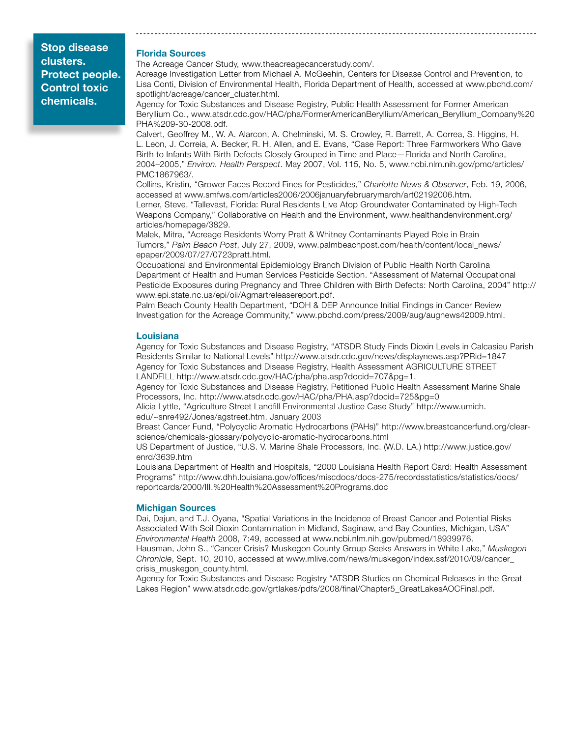#### Florida Sources

The Acreage Cancer Study, www.theacreagecancerstudy.com/.

Acreage Investigation Letter from Michael A. McGeehin, Centers for Disease Control and Prevention, to Lisa Conti, Division of Environmental Health, Florida Department of Health, accessed at www.pbchd.com/ spotlight/acreage/cancer\_cluster.html.

Agency for Toxic Substances and Disease Registry, Public Health Assessment for Former American Beryllium Co., www.atsdr.cdc.gov/HAC/pha/FormerAmericanBeryllium/American\_Beryllium\_Company%20 PHA%209-30-2008.pdf.

Calvert, Geoffrey M., W. A. Alarcon, A. Chelminski, M. S. Crowley, R. Barrett, A. Correa, S. Higgins, H. L. Leon, J. Correia, A. Becker, R. H. Allen, and E. Evans, "Case Report: Three Farmworkers Who Gave Birth to Infants With Birth Defects Closely Grouped in Time and Place—Florida and North Carolina, 2004–2005," *Environ. Health Perspect*. May 2007, Vol. 115, No. 5, www.ncbi.nlm.nih.gov/pmc/articles/ PMC1867963/.

Collins, Kristin, "Grower Faces Record Fines for Pesticides," *Charlotte News & Observer*, Feb. 19, 2006, accessed at www.smfws.com/articles2006/2006januaryfebruarymarch/art02192006.htm. Lerner, Steve, "Tallevast, Florida: Rural Residents Live Atop Groundwater Contaminated by High-Tech Weapons Company," Collaborative on Health and the Environment, www.healthandenvironment.org/

articles/homepage/3829.

Malek, Mitra, "Acreage Residents Worry Pratt & Whitney Contaminants Played Role in Brain Tumors," *Palm Beach Post*, July 27, 2009, www.palmbeachpost.com/health/content/local\_news/ epaper/2009/07/27/0723pratt.html.

Occupational and Environmental Epidemiology Branch Division of Public Health North Carolina Department of Health and Human Services Pesticide Section. "Assessment of Maternal Occupational Pesticide Exposures during Pregnancy and Three Children with Birth Defects: North Carolina, 2004" http:// www.epi.state.nc.us/epi/oii/Agmartreleasereport.pdf.

Palm Beach County Health Department, "DOH & DEP Announce Initial Findings in Cancer Review Investigation for the Acreage Community," www.pbchd.com/press/2009/aug/augnews42009.html.

#### Louisiana

Agency for Toxic Substances and Disease Registry, "ATSDR Study Finds Dioxin Levels in Calcasieu Parish Residents Similar to National Levels" http://www.atsdr.cdc.gov/news/displaynews.asp?PRid=1847 Agency for Toxic Substances and Disease Registry, Health Assessment AGRICULTURE STREET LANDFILL http://www.atsdr.cdc.gov/HAC/pha/pha.asp?docid=707&pg=1.

Agency for Toxic Substances and Disease Registry, Petitioned Public Health Assessment Marine Shale Processors, Inc. http://www.atsdr.cdc.gov/HAC/pha/PHA.asp?docid=725&pg=0

Alicia Lyttle, "Agriculture Street Landfill Environmental Justice Case Study" http://www.umich. edu/~snre492/Jones/agstreet.htm. January 2003

Breast Cancer Fund, "Polycyclic Aromatic Hydrocarbons (PAHs)" http://www.breastcancerfund.org/clearscience/chemicals-glossary/polycyclic-aromatic-hydrocarbons.html

US Department of Justice, "U.S. V. Marine Shale Processors, Inc. (W.D. LA.) http://www.justice.gov/ enrd/3639.htm

Louisiana Department of Health and Hospitals, "2000 Louisiana Health Report Card: Health Assessment Programs" http://www.dhh.louisiana.gov/offices/miscdocs/docs-275/recordsstatistics/statistics/docs/ reportcards/2000/III.%20Health%20Assessment%20Programs.doc

#### Michigan Sources

Dai, Dajun, and T.J. Oyana, "Spatial Variations in the Incidence of Breast Cancer and Potential Risks Associated With Soil Dioxin Contamination in Midland, Saginaw, and Bay Counties, Michigan, USA" *Environmental Health* 2008, 7:49, accessed at www.ncbi.nlm.nih.gov/pubmed/18939976.

Hausman, John S., "Cancer Crisis? Muskegon County Group Seeks Answers in White Lake," *Muskegon Chronicle*, Sept. 10, 2010, accessed at www.mlive.com/news/muskegon/index.ssf/2010/09/cancer\_ crisis\_muskegon\_county.html.

Agency for Toxic Substances and Disease Registry "ATSDR Studies on Chemical Releases in the Great Lakes Region" www.atsdr.cdc.gov/grtlakes/pdfs/2008/final/Chapter5\_GreatLakesAOCFinal.pdf.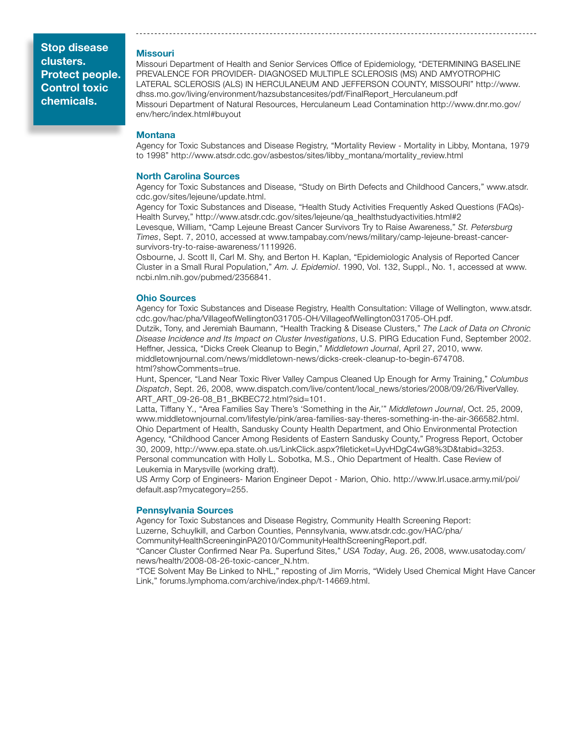#### Missouri

Missouri Department of Health and Senior Services Office of Epidemiology, "DETERMINING BASELINE PREVALENCE FOR PROVIDER- DIAGNOSED MULTIPLE SCLEROSIS (MS) AND AMYOTROPHIC LATERAL SCLEROSIS (ALS) IN HERCULANEUM AND JEFFERSON COUNTY, MISSOURI" http://www. dhss.mo.gov/living/environment/hazsubstancesites/pdf/FinalReport\_Herculaneum.pdf Missouri Department of Natural Resources, Herculaneum Lead Contamination http://www.dnr.mo.gov/ env/herc/index.html#buyout

#### **Montana**

Agency for Toxic Substances and Disease Registry, "Mortality Review - Mortality in Libby, Montana, 1979 to 1998" http://www.atsdr.cdc.gov/asbestos/sites/libby\_montana/mortality\_review.html

#### North Carolina Sources

Agency for Toxic Substances and Disease, "Study on Birth Defects and Childhood Cancers," www.atsdr. cdc.gov/sites/lejeune/update.html.

Agency for Toxic Substances and Disease, "Health Study Activities Frequently Asked Questions (FAQs)- Health Survey," http://www.atsdr.cdc.gov/sites/lejeune/qa\_healthstudyactivities.html#2

Levesque, William, "Camp Lejeune Breast Cancer Survivors Try to Raise Awareness," *St. Petersburg Times*, Sept. 7, 2010, accessed at www.tampabay.com/news/military/camp-lejeune-breast-cancersurvivors-try-to-raise-awareness/1119926.

Osbourne, J. Scott II, Carl M. Shy, and Berton H. Kaplan, "Epidemiologic Analysis of Reported Cancer Cluster in a Small Rural Population," *Am. J. Epidemiol*. 1990, Vol. 132, Suppl., No. 1, accessed at www. ncbi.nlm.nih.gov/pubmed/2356841.

#### Ohio Sources

Agency for Toxic Substances and Disease Registry, Health Consultation: Village of Wellington, www.atsdr. cdc.gov/hac/pha/VillageofWellington031705-OH/VillageofWellington031705-OH.pdf.

Dutzik, Tony, and Jeremiah Baumann, "Health Tracking & Disease Clusters," *The Lack of Data on Chronic Disease Incidence and Its Impact on Cluster Investigations*, U.S. PIRG Education Fund, September 2002. Heffner, Jessica, "Dicks Creek Cleanup to Begin," *Middletown Journal*, April 27, 2010, www. middletownjournal.com/news/middletown-news/dicks-creek-cleanup-to-begin-674708. html?showComments=true.

Hunt, Spencer, "Land Near Toxic River Valley Campus Cleaned Up Enough for Army Training," *Columbus Dispatch*, Sept. 26, 2008, www.dispatch.com/live/content/local\_news/stories/2008/09/26/RiverValley. ART\_ART\_09-26-08\_B1\_BKBEC72.html?sid=101.

Latta, Tiffany Y., "Area Families Say There's 'Something in the Air,'" *Middletown Journal*, Oct. 25, 2009, www.middletownjournal.com/lifestyle/pink/area-families-say-theres-something-in-the-air-366582.html. Ohio Department of Health, Sandusky County Health Department, and Ohio Environmental Protection Agency, "Childhood Cancer Among Residents of Eastern Sandusky County," Progress Report, October 30, 2009, http://www.epa.state.oh.us/LinkClick.aspx?fileticket=UyvHDgC4wG8%3D&tabid=3253. Personal communcation with Holly L. Sobotka, M.S., Ohio Department of Health. Case Review of Leukemia in Marysville (working draft).

US Army Corp of Engineers- Marion Engineer Depot - Marion, Ohio. http://www.lrl.usace.army.mil/poi/ default.asp?mycategory=255.

#### Pennsylvania Sources

Agency for Toxic Substances and Disease Registry, Community Health Screening Report: Luzerne, Schuylkill, and Carbon Counties, Pennsylvania, www.atsdr.cdc.gov/HAC/pha/ CommunityHealthScreeninginPA2010/CommunityHealthScreeningReport.pdf.

"Cancer Cluster Confirmed Near Pa. Superfund Sites," *USA Today*, Aug. 26, 2008, www.usatoday.com/ news/health/2008-08-26-toxic-cancer\_N.htm.

"TCE Solvent May Be Linked to NHL," reposting of Jim Morris, "Widely Used Chemical Might Have Cancer Link," forums.lymphoma.com/archive/index.php/t-14669.html.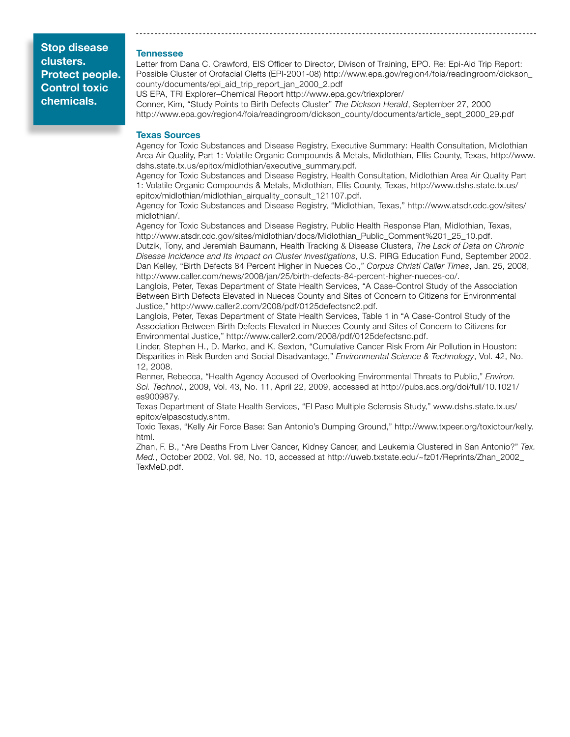#### Tennessee

Letter from Dana C. Crawford, EIS Officer to Director, Divison of Training, EPO. Re: Epi-Aid Trip Report: Possible Cluster of Orofacial Clefts (EPI-2001-08) http://www.epa.gov/region4/foia/readingroom/dickson\_ county/documents/epi\_aid\_trip\_report\_jan\_2000\_2.pdf

US EPA, TRI Explorer–Chemical Report http://www.epa.gov/triexplorer/ Conner, Kim, "Study Points to Birth Defects Cluster" *The Dickson Herald*, September 27, 2000 http://www.epa.gov/region4/foia/readingroom/dickson\_county/documents/article\_sept\_2000\_29.pdf

#### Texas Sources

Agency for Toxic Substances and Disease Registry, Executive Summary: Health Consultation, Midlothian Area Air Quality, Part 1: Volatile Organic Compounds & Metals, Midlothian, Ellis County, Texas, http://www. dshs.state.tx.us/epitox/midlothian/executive\_summary.pdf.

Agency for Toxic Substances and Disease Registry, Health Consultation, Midlothian Area Air Quality Part 1: Volatile Organic Compounds & Metals, Midlothian, Ellis County, Texas, http://www.dshs.state.tx.us/ epitox/midlothian/midlothian\_airquality\_consult\_121107.pdf.

Agency for Toxic Substances and Disease Registry, "Midlothian, Texas," http://www.atsdr.cdc.gov/sites/ midlothian/.

Agency for Toxic Substances and Disease Registry, Public Health Response Plan, Midlothian, Texas, http://www.atsdr.cdc.gov/sites/midlothian/docs/Midlothian\_Public\_Comment%201\_25\_10.pdf.

Dutzik, Tony, and Jeremiah Baumann, Health Tracking & Disease Clusters, *The Lack of Data on Chronic Disease Incidence and Its Impact on Cluster Investigations*, U.S. PIRG Education Fund, September 2002. Dan Kelley, "Birth Defects 84 Percent Higher in Nueces Co.," *Corpus Christi Caller Times*, Jan. 25, 2008, http://www.caller.com/news/2008/jan/25/birth-defects-84-percent-higher-nueces-co/.

Langlois, Peter, Texas Department of State Health Services, "A Case-Control Study of the Association Between Birth Defects Elevated in Nueces County and Sites of Concern to Citizens for Environmental Justice," http://www.caller2.com/2008/pdf/0125defectsnc2.pdf.

Langlois, Peter, Texas Department of State Health Services, Table 1 in "A Case-Control Study of the Association Between Birth Defects Elevated in Nueces County and Sites of Concern to Citizens for Environmental Justice," http://www.caller2.com/2008/pdf/0125defectsnc.pdf.

Linder, Stephen H., D. Marko, and K. Sexton, "Cumulative Cancer Risk From Air Pollution in Houston: Disparities in Risk Burden and Social Disadvantage," *Environmental Science & Technology*, Vol. 42, No. 12, 2008.

Renner, Rebecca, "Health Agency Accused of Overlooking Environmental Threats to Public," *Environ. Sci. Technol.*, 2009, Vol. 43, No. 11, April 22, 2009, accessed at http://pubs.acs.org/doi/full/10.1021/ es900987y.

Texas Department of State Health Services, "El Paso Multiple Sclerosis Study," www.dshs.state.tx.us/ epitox/elpasostudy.shtm.

Toxic Texas, "Kelly Air Force Base: San Antonio's Dumping Ground," http://www.txpeer.org/toxictour/kelly. html.

Zhan, F. B., "Are Deaths From Liver Cancer, Kidney Cancer, and Leukemia Clustered in San Antonio?" *Tex. Med.*, October 2002, Vol. 98, No. 10, accessed at http://uweb.txstate.edu/~fz01/Reprints/Zhan\_2002\_ TexMeD.pdf.